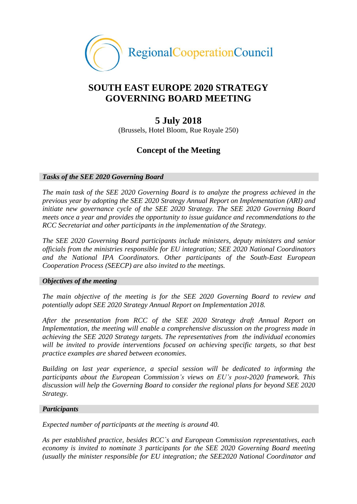

## **SOUTH EAST EUROPE 2020 STRATEGY GOVERNING BOARD MEETING**

### **5 July 2018**

(Brussels, Hotel Bloom, Rue Royale 250)

### **Concept of the Meeting**

#### *Tasks of the SEE 2020 Governing Board*

*The main task of the SEE 2020 Governing Board is to analyze the progress achieved in the previous year by adopting the [SEE 2020 Strategy Annual Report on Implementation \(ARI\) an](http://www.rcc.int/pages/119/annual-report-on-implementation-of-the-see-2020-strategy)d initiate new governance cycle of the SEE 2020 Strategy. The SEE 2020 Governing Board meets once a year and provides the opportunity to issue guidance and recommendations to the RCC Secretariat and other participants in the implementation of the Strategy.*

*The SEE 2020 Governing Board participants include ministers, deputy ministers and senior officials from the ministries responsible for EU integration; SEE 2020 National Coordinators and the National IPA Coordinators. Other participants of the South-East European Cooperation Process (SEECP) are also invited to the meetings.*

#### *Objectives of the meeting*

*The main objective of the meeting is for the SEE 2020 Governing Board to review and potentially adopt SEE 2020 Strategy Annual Report on Implementation 2018.* 

*After the presentation from RCC of the SEE 2020 Strategy draft Annual Report on Implementation, the meeting will enable a comprehensive discussion on the progress made in achieving the SEE 2020 Strategy targets. The representatives from the individual economies will be invited to provide interventions focused on achieving specific targets, so that best practice examples are shared between economies.*

*Building on last year experience, a special session will be dedicated to informing the participants about the European Commission's views on EU's post-2020 framework. This discussion will help the Governing Board to consider the regional plans for beyond SEE 2020 Strategy.*

#### *Participants*

*Expected number of participants at the meeting is around 40.*

*As per established practice, besides RCC`s and European Commission representatives, each economy is invited to nominate 3 participants for the SEE 2020 Governing Board meeting (usually the minister responsible for EU integration; the SEE2020 National Coordinator and*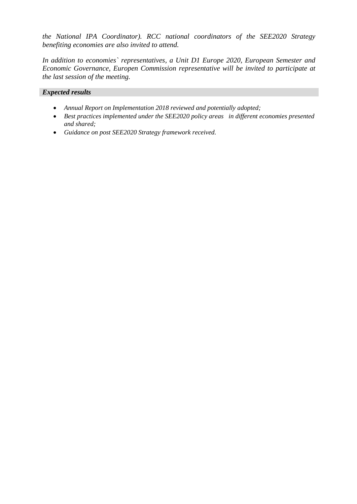*the National IPA Coordinator). RCC national coordinators of the SEE2020 Strategy benefiting economies are also invited to attend.* 

*In addition to economies` representatives, a Unit D1 Europe 2020, European Semester and Economic Governance, Europen Commission representative will be invited to participate at the last session of the meeting.*

#### *Expected results*

- *Annual Report on Implementation 2018 reviewed and potentially adopted;*
- *Best practices implemented under the SEE2020 policy areas in different economies presented and shared;*
- *Guidance on post SEE2020 Strategy framework received.*